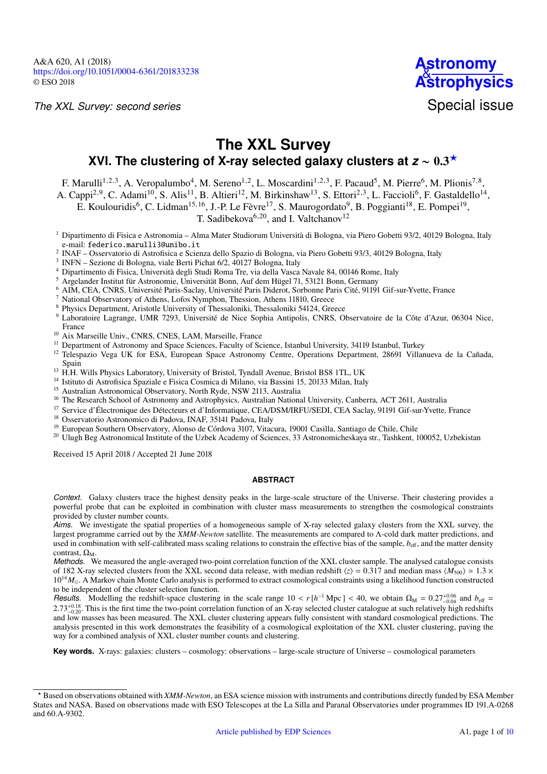*The XXL Survey: second series*



# **The XXL Survey** XVI. The clustering of X-ray selected galaxy clusters at *z* ∼ 0.3<sup>★</sup>

F. Marulli<sup>[1](#page-0-0)[,2](#page-0-1)[,3](#page-0-2)</sup>, A. Veropalumbo<sup>[4](#page-0-3)</sup>, M. Sereno<sup>1,2</sup>, L. Moscardini<sup>1[,2,](#page-0-1)[3](#page-0-2)</sup>, F. Pacaud<sup>[5](#page-0-4)</sup>, M. Pierre<sup>[6](#page-0-5)</sup>, M. Plionis<sup>[7,](#page-0-6)[8](#page-0-7)</sup>,

A. Cappi<sup>[2](#page-0-1)[,9](#page-0-8)</sup>, C. Adami<sup>[10](#page-0-9)</sup>, S. Alis<sup>[11](#page-0-10)</sup>, B. Altieri<sup>[12](#page-0-11)</sup>, M. Birkinshaw<sup>[13](#page-0-12)</sup>, S. Ettori<sup>[2,](#page-0-1)[3](#page-0-2)</sup>, L. Faccioli<sup>[6](#page-0-5)</sup>, F. Gastaldello<sup>[14](#page-0-13)</sup>,

E. Koulouridis<sup>[6](#page-0-5)</sup>, C. Lidman<sup>[15,](#page-0-14)[16](#page-0-15)</sup>, J.-P. Le Fèvre<sup>[17](#page-0-16)</sup>, S. Maurogordato<sup>[9](#page-0-8)</sup>, B. Poggianti<sup>[18](#page-0-17)</sup>, E. Pompei<sup>[19](#page-0-18)</sup>,

T. Sadibekova<sup>[6](#page-0-5)[,20](#page-0-19)</sup>, and I. Valtchanov<sup>[12](#page-0-11)</sup>

- <span id="page-0-0"></span><sup>1</sup> Dipartimento di Fisica e Astronomia – Alma Mater Studiorum Università di Bologna, via Piero Gobetti 93/2, 40129 Bologna, Italy e-mail: [federico.marulli3@unibo.it](mailto:federico.marulli3@unibo.it)
- <span id="page-0-1"></span>2 INAF – Osservatorio di Astrofisica e Scienza dello Spazio di Bologna, via Piero Gobetti 93/3, 40129 Bologna, Italy
- <span id="page-0-2"></span>3 INFN – Sezione di Bologna, viale Berti Pichat 6/2, 40127 Bologna, Italy
- <span id="page-0-3"></span><sup>4</sup> Dipartimento di Fisica, Università degli Studi Roma Tre, via della Vasca Navale 84, 00146 Rome, Italy
- <span id="page-0-4"></span><sup>5</sup> Argelander Institut für Astronomie, Universität Bonn, Auf dem Hügel 71, 53121 Bonn, Germany
- <span id="page-0-5"></span><sup>6</sup> AIM, CEA, CNRS, Université Paris-Saclay, Université Paris Diderot, Sorbonne Paris Cité, 91191 Gif-sur-Yvette, France
- <span id="page-0-6"></span><sup>7</sup> National Observatory of Athens, Lofos Nymphon, Thession, Athens 11810, Greece
- <span id="page-0-7"></span><sup>8</sup> Physics Department, Aristotle University of Thessaloniki, Thessaloniki 54124, Greece
- <span id="page-0-8"></span><sup>9</sup> Laboratoire Lagrange, UMR 7293, Université de Nice Sophia Antipolis, CNRS, Observatoire de la Côte d'Azur, 06304 Nice,
- France
- <span id="page-0-9"></span><sup>10</sup> Aix Marseille Univ., CNRS, CNES, LAM, Marseille, France <sup>11</sup> Department of Astronomy and Space Sciences, Faculty of Science, Istanbul University, 34119 Istanbul, Turkey
- <span id="page-0-11"></span><span id="page-0-10"></span><sup>12</sup> Telespazio Vega UK for ESA, European Space Astronomy Centre, Operations Department, 28691 Villanueva de la Cañada, Spain
- <span id="page-0-12"></span><sup>13</sup> H.H. Wills Physics Laboratory, University of Bristol, Tyndall Avenue, Bristol BS8 1TL, UK
- <span id="page-0-13"></span><sup>14</sup> Istituto di Astrofisica Spaziale e Fisica Cosmica di Milano, via Bassini 15, 20133 Milan, Italy
- <span id="page-0-14"></span><sup>15</sup> Australian Astronomical Observatory, North Ryde, NSW 2113, Australia
- <span id="page-0-15"></span><sup>16</sup> The Research School of Astronomy and Astrophysics, Australian National University, Canberra, ACT 2611, Australia
- <span id="page-0-16"></span><sup>17</sup> Service d'Électronique des Détecteurs et d'Informatique, CEA/DSM/IRFU/SEDI, CEA Saclay, 91191 Gif-sur-Yvette, France
- <span id="page-0-17"></span><sup>18</sup> Osservatorio Astronomico di Padova, INAF, 35141 Padova, Italy
- <span id="page-0-18"></span><sup>19</sup> European Southern Observatory, Alonso de Córdova 3107, Vitacura, 19001 Casilla, Santiago de Chile, Chile
- <span id="page-0-19"></span><sup>20</sup> Ulugh Beg Astronomical Institute of the Uzbek Academy of Sciences, 33 Astronomicheskaya str., Tashkent, 100052, Uzbekistan

Received 15 April 2018 / Accepted 21 June 2018

## **ABSTRACT**

*Context.* Galaxy clusters trace the highest density peaks in the large-scale structure of the Universe. Their clustering provides a powerful probe that can be exploited in combination with cluster mass measurements to strengthen the cosmological constraints provided by cluster number counts.

*Aims.* We investigate the spatial properties of a homogeneous sample of X-ray selected galaxy clusters from the XXL survey, the largest programme carried out by the *XMM-Newton* satellite. The measurements are compared to Λ-cold dark matter predictions, and used in combination with self-calibrated mass scaling relations to constrain the effective bias of the sample,  $b_{\text{eff}}$ , and the matter density contrast,  $\Omega_{\rm M}$ .

*Methods.* We measured the angle-averaged two-point correlation function of the XXL cluster sample. The analysed catalogue consists of 182 X-ray selected clusters from the XXL second data release, with median redshift  $\langle z \rangle = 0.317$  and median mass  $\langle M_{500} \rangle \approx 1.3 \times$ 10<sup>14</sup>*M*. A Markov chain Monte Carlo analysis is performed to extract cosmological constraints using a likelihood function constructed to be independent of the cluster selection function.

*Results.* Modelling the redshift-space clustering in the scale range  $10 < r[h^{-1} \text{ Mpc}] < 40$ , we obtain  $\Omega_M = 0.27^{+0.06}_{-0.04}$  and  $b_{\text{eff}} = 2.73^{+0.18}$ . This is the first time the two-point correlation function of an X- $2.73^{+0.18}_{-0.20}$ . This is the first time the two-point correlation function of an X-ray selected cluster catalogue at such relatively high redshifts and low masses has been measured. The XXL cluster clustering appears and low masses has been measured. The XXL cluster clustering appears fully consistent with standard cosmological predictions. The analysis presented in this work demonstrates the feasibility of a cosmological exploitation of the XXL cluster clustering, paving the way for a combined analysis of XXL cluster number counts and clustering.

**Key words.** X-rays: galaxies: clusters – cosmology: observations – large-scale structure of Universe – cosmological parameters

<sup>?</sup> Based on observations obtained with *XMM-Newton*, an ESA science mission with instruments and contributions directly funded by ESA Member States and NASA. Based on observations made with ESO Telescopes at the La Silla and Paranal Observatories under programmes ID 191.A-0268 and 60.A-9302.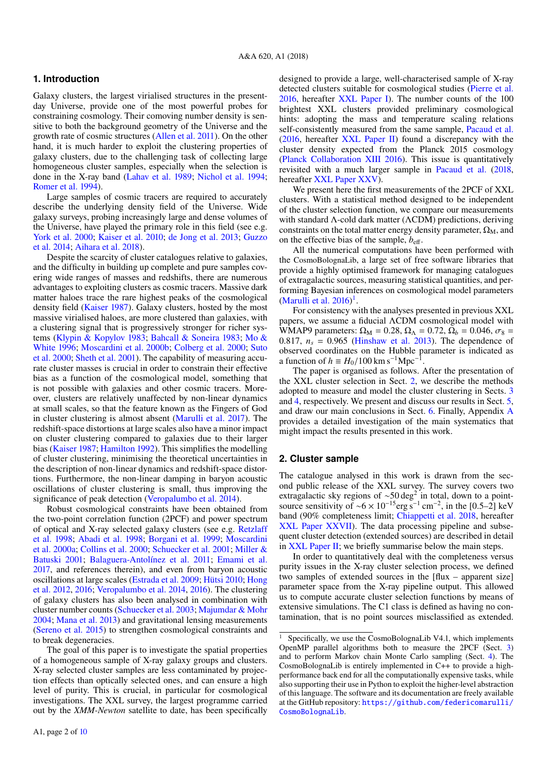## **1. Introduction**

Galaxy clusters, the largest virialised structures in the presentday Universe, provide one of the most powerful probes for constraining cosmology. Their comoving number density is sensitive to both the background geometry of the Universe and the growth rate of cosmic structures [\(Allen et al.](#page-6-0) [2011\)](#page-6-0). On the other hand, it is much harder to exploit the clustering properties of galaxy clusters, due to the challenging task of collecting large homogeneous cluster samples, especially when the selection is done in the X-ray band [\(Lahav et al.](#page-6-1) [1989;](#page-6-1) [Nichol et al.](#page-6-2) [1994;](#page-6-2) [Romer et al.](#page-6-3) [1994\)](#page-6-3).

Large samples of cosmic tracers are required to accurately describe the underlying density field of the Universe. Wide galaxy surveys, probing increasingly large and dense volumes of the Universe, have played the primary role in this field (see e.g. [York et al.](#page-6-4) [2000;](#page-6-4) [Kaiser et al.](#page-6-5) [2010;](#page-6-5) [de Jong et al.](#page-6-6) [2013;](#page-6-6) [Guzzo](#page-6-7) [et al.](#page-6-7) [2014;](#page-6-7) [Aihara et al.](#page-6-8) [2018\)](#page-6-8).

Despite the scarcity of cluster catalogues relative to galaxies, and the difficulty in building up complete and pure samples covering wide ranges of masses and redshifts, there are numerous advantages to exploiting clusters as cosmic tracers. Massive dark matter haloes trace the rare highest peaks of the cosmological density field [\(Kaiser](#page-6-9) [1987\)](#page-6-9). Galaxy clusters, hosted by the most massive virialised haloes, are more clustered than galaxies, with a clustering signal that is progressively stronger for richer systems [\(Klypin & Kopylov](#page-6-10) [1983;](#page-6-10) [Bahcall & Soneira](#page-6-11) [1983;](#page-6-11) [Mo &](#page-6-12) [White](#page-6-12) [1996;](#page-6-12) [Moscardini et al.](#page-6-13) [2000b;](#page-6-13) [Colberg et al.](#page-6-14) [2000;](#page-6-14) [Suto](#page-6-15) [et al.](#page-6-15) [2000;](#page-6-15) [Sheth et al.](#page-6-16) [2001\)](#page-6-16). The capability of measuring accurate cluster masses is crucial in order to constrain their effective bias as a function of the cosmological model, something that is not possible with galaxies and other cosmic tracers. Moreover, clusters are relatively unaffected by non-linear dynamics at small scales, so that the feature known as the Fingers of God in cluster clustering is almost absent [\(Marulli et al.](#page-6-17) [2017\)](#page-6-17). The redshift-space distortions at large scales also have a minor impact on cluster clustering compared to galaxies due to their larger bias [\(Kaiser](#page-6-9) [1987;](#page-6-9) [Hamilton](#page-6-18) [1992\)](#page-6-18). This simplifies the modelling of cluster clustering, minimising the theoretical uncertainties in the description of non-linear dynamics and redshift-space distortions. Furthermore, the non-linear damping in baryon acoustic oscillations of cluster clustering is small, thus improving the significance of peak detection [\(Veropalumbo et al.](#page-6-19) [2014\)](#page-6-19).

Robust cosmological constraints have been obtained from the two-point correlation function (2PCF) and power spectrum of optical and X-ray selected galaxy clusters (see e.g. [Retzlaff](#page-6-20) [et al.](#page-6-20) [1998;](#page-6-20) [Abadi et al.](#page-6-21) [1998;](#page-6-21) [Borgani et al.](#page-6-22) [1999;](#page-6-22) [Moscardini](#page-6-23) [et al.](#page-6-23) [2000a;](#page-6-23) [Collins et al.](#page-6-24) [2000;](#page-6-24) [Schuecker et al.](#page-6-25) [2001;](#page-6-25) [Miller &](#page-6-26) [Batuski](#page-6-26) [2001;](#page-6-26) [Balaguera-Antolínez et al.](#page-6-27) [2011;](#page-6-27) [Emami et al.](#page-6-28) [2017,](#page-6-28) and references therein), and even from baryon acoustic oscillations at large scales [\(Estrada et al.](#page-6-29) [2009;](#page-6-29) [Hütsi](#page-6-30) [2010;](#page-6-30) [Hong](#page-6-31) [et al.](#page-6-31) [2012,](#page-6-31) [2016;](#page-6-32) [Veropalumbo et al.](#page-6-19) [2014,](#page-6-19) [2016\)](#page-6-33). The clustering of galaxy clusters has also been analysed in combination with cluster number counts [\(Schuecker et al.](#page-6-34) [2003;](#page-6-34) [Majumdar & Mohr](#page-6-35) [2004;](#page-6-35) [Mana et al.](#page-6-36) [2013\)](#page-6-36) and gravitational lensing measurements [\(Sereno et al.](#page-6-37) [2015\)](#page-6-37) to strengthen cosmological constraints and to break degeneracies.

The goal of this paper is to investigate the spatial properties of a homogeneous sample of X-ray galaxy groups and clusters. X-ray selected cluster samples are less contaminated by projection effects than optically selected ones, and can ensure a high level of purity. This is crucial, in particular for cosmological investigations. The XXL survey, the largest programme carried out by the *XMM-Newton* satellite to date, has been specifically

designed to provide a large, well-characterised sample of X-ray detected clusters suitable for cosmological studies [\(Pierre et al.](#page-6-38) [2016,](#page-6-38) hereafter [XXL Paper I\)](#page-6-38). The number counts of the 100 brightest XXL clusters provided preliminary cosmological hints: adopting the mass and temperature scaling relations self-consistently measured from the same sample, [Pacaud et al.](#page-6-39) [\(2016,](#page-6-39) hereafter [XXL Paper II\)](#page-6-39) found a discrepancy with the cluster density expected from the Planck 2015 cosmology [\(Planck Collaboration XIII](#page-6-40) [2016\)](#page-6-40). This issue is quantitatively revisited with a much larger sample in [Pacaud et al.](#page-6-41) [\(2018,](#page-6-41) hereafter [XXL Paper XXV\)](#page-6-41).

We present here the first measurements of the 2PCF of XXL clusters. With a statistical method designed to be independent of the cluster selection function, we compare our measurements with standard Λ-cold dark matter (ΛCDM) predictions, deriving constraints on the total matter energy density parameter,  $\Omega_M$ , and on the effective bias of the sample,  $b_{\text{eff}}$ .

All the numerical computations have been performed with the CosmoBolognaLib, a large set of free software libraries that provide a highly optimised framework for managing catalogues of extragalactic sources, measuring statistical quantities, and performing Bayesian inferences on cosmological model parameters [\(Marulli et al.](#page-6-42) [2016\)](#page-6-42) [1](#page-1-0) .

For consistency with the analyses presented in previous XXL papers, we assume a fiducial ΛCDM cosmological model with WMAP9 parameters:  $\Omega_M = 0.28$ ,  $\Omega_{\Lambda} = 0.72$ ,  $\Omega_b = 0.046$ ,  $\sigma_8 =$ 0.817,  $n_s = 0.965$  [\(Hinshaw et al.](#page-6-43) [2013\)](#page-6-43). The dependence of observed coordinates on the Hubble parameter is indicated as a function of  $h \equiv H_0/100 \text{ km s}^{-1} \text{Mpc}^{-1}$ .

The paper is organised as follows. After the presentation of the XXL cluster selection in Sect. [2,](#page-1-1) we describe the methods adopted to measure and model the cluster clustering in Sects. [3](#page-2-0) and [4,](#page-3-0) respectively. We present and discuss our results in Sect. [5,](#page-4-0) and draw our main conclusions in Sect. [6.](#page-5-0) Finally, Appendix [A](#page-7-0) provides a detailed investigation of the main systematics that might impact the results presented in this work.

# <span id="page-1-1"></span>**2. Cluster sample**

The catalogue analysed in this work is drawn from the second public release of the XXL survey. The survey covers two extragalactic sky regions of  $\sim$ 50 deg<sup>2</sup> in total, down to a pointsource sensitivity of ~6 × 10<sup>-15</sup>erg s<sup>-1</sup> cm<sup>-2</sup>, in the [0.5–2] keV band (90% completeness limit; [Chiappetti et al.](#page-6-44) [2018,](#page-6-44) hereafter [XXL Paper XXVII\)](#page-6-44). The data processing pipeline and subsequent cluster detection (extended sources) are described in detail in [XXL Paper II;](#page-6-39) we briefly summarise below the main steps.

In order to quantitatively deal with the completeness versus purity issues in the X-ray cluster selection process, we defined two samples of extended sources in the [flux – apparent size] parameter space from the X-ray pipeline output. This allowed us to compute accurate cluster selection functions by means of extensive simulations. The C1 class is defined as having no contamination, that is no point sources misclassified as extended.

<span id="page-1-0"></span>Specifically, we use the CosmoBolognaLib V4.1, which implements OpenMP parallel algorithms both to measure the 2PCF (Sect. [3\)](#page-2-0) and to perform Markov chain Monte Carlo sampling (Sect. [4\)](#page-3-0). The CosmoBolognaLib is entirely implemented in C++ to provide a highperformance back end for all the computationally expensive tasks, while also supporting their use in Python to exploit the higher-level abstraction of this language. The software and its documentation are freely available at the GitHub repository: [https://github.com/federicomarulli/](https://github.com/federicomarulli/CosmoBolognaLib) [CosmoBolognaLib](https://github.com/federicomarulli/CosmoBolognaLib).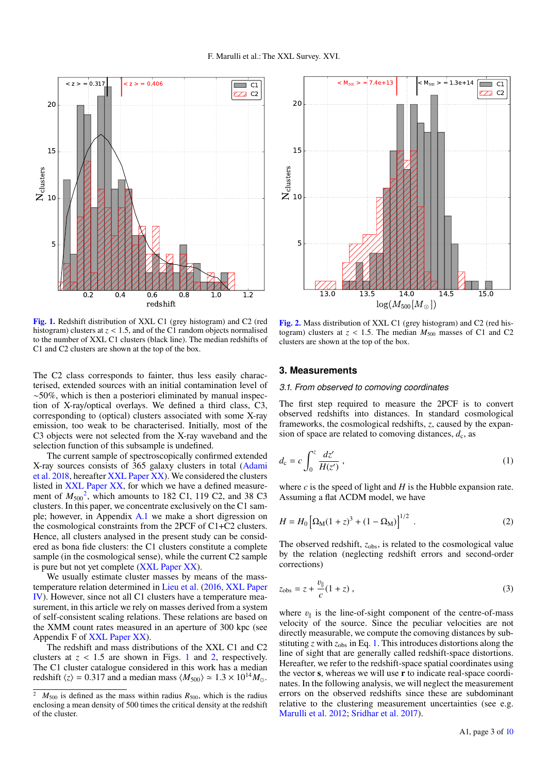

<span id="page-2-2"></span>[Fig. 1.](http://dexter.edpsciences.org/applet.php?DOI=10.1051/0004-6361/201833238&pdf_id=0) Redshift distribution of XXL C1 (grey histogram) and C2 (red histogram) clusters at *<sup>z</sup>* < <sup>1</sup>.5, and of the C1 random objects normalised to the number of XXL C1 clusters (black line). The median redshifts of C1 and C2 clusters are shown at the top of the box.

The C2 class corresponds to fainter, thus less easily characterised, extended sources with an initial contamination level of ∼50%, which is then a posteriori eliminated by manual inspection of X-ray/optical overlays. We defined a third class, C3, corresponding to (optical) clusters associated with some X-ray emission, too weak to be characterised. Initially, most of the C3 objects were not selected from the X-ray waveband and the selection function of this subsample is undefined.

The current sample of spectroscopically confirmed extended X-ray sources consists of 365 galaxy clusters in total [\(Adami](#page-6-45) [et al.](#page-6-45) [2018,](#page-6-45) hereafter [XXL Paper XX\)](#page-6-45). We considered the clusters listed in [XXL Paper XX,](#page-6-45) for which we have a defined measurement of  $M_{500}^2$  $M_{500}^2$ , which amounts to 182 C1, 119 C2, and 38 C3 clusters. In this paper, we concentrate exclusively on the C1 sample; however, in Appendix [A.1](#page-7-1) we make a short digression on the cosmological constraints from the 2PCF of C1+C2 clusters. Hence, all clusters analysed in the present study can be considered as bona fide clusters: the C1 clusters constitute a complete sample (in the cosmological sense), while the current C2 sample is pure but not yet complete [\(XXL Paper XX\)](#page-6-45).

We usually estimate cluster masses by means of the masstemperature relation determined in [Lieu et al.](#page-6-46) [\(2016,](#page-6-46) [XXL Paper](#page-6-46) [IV\)](#page-6-46). However, since not all C1 clusters have a temperature measurement, in this article we rely on masses derived from a system of self-consistent scaling relations. These relations are based on the XMM count rates measured in an aperture of 300 kpc (see Appendix F of [XXL Paper XX\)](#page-6-45).

The redshift and mass distributions of the XXL C1 and C2 clusters at  $z < 1.5$  $z < 1.5$  $z < 1.5$  are shown in Figs. 1 and [2,](#page-2-3) respectively. The C1 cluster catalogue considered in this work has a median redshift  $\langle z \rangle = 0.317$  and a median mass  $\langle M_{500} \rangle \simeq 1.3 \times 10^{14} M_{\odot}$ .



<span id="page-2-3"></span>[Fig. 2.](http://dexter.edpsciences.org/applet.php?DOI=10.1051/0004-6361/201833238&pdf_id=0) Mass distribution of XXL C1 (grey histogram) and C2 (red histogram) clusters at  $z < 1.5$ . The median  $M_{500}$  masses of C1 and C2 clusters are shown at the top of the box.

#### <span id="page-2-0"></span>**3. Measurements**

## *3.1. From observed to comoving coordinates*

<span id="page-2-4"></span>The first step required to measure the 2PCF is to convert observed redshifts into distances. In standard cosmological frameworks, the cosmological redshifts, *z*, caused by the expansion of space are related to comoving distances,  $d_c$ , as

$$
d_{\rm c} = c \int_0^z \frac{dz'}{H(z')} \,,\tag{1}
$$

where  $c$  is the speed of light and  $H$  is the Hubble expansion rate. Assuming a flat ΛCDM model, we have

$$
H = H_0 \left[ \Omega_{\rm M} (1+z)^3 + (1 - \Omega_{\rm M}) \right]^{1/2} \tag{2}
$$

The observed redshift,  $z_{obs}$ , is related to the cosmological value by the relation (neglecting redshift errors and second-order corrections)

$$
z_{\rm obs} = z + \frac{v_{\parallel}}{c} (1 + z) \,, \tag{3}
$$

where  $v_{\parallel}$  is the line-of-sight component of the centre-of-mass<br>velocity of the source. Since the peculiar velocities are not velocity of the source. Since the peculiar velocities are not directly measurable, we compute the comoving distances by substituting  $z$  with  $z_{obs}$  in Eq. [1.](#page-2-4) This introduces distortions along the line of sight that are generally called redshift-space distortions. Hereafter, we refer to the redshift-space spatial coordinates using the vector s, whereas we will use r to indicate real-space coordinates. In the following analysis, we will neglect the measurement errors on the observed redshifts since these are subdominant relative to the clustering measurement uncertainties (see e.g. [Marulli et al.](#page-6-47) [2012;](#page-6-47) [Sridhar et al.](#page-6-48) [2017\)](#page-6-48).

<span id="page-2-1"></span> $M_{500}$  is defined as the mass within radius  $R_{500}$ , which is the radius enclosing a mean density of 500 times the critical density at the redshift of the cluster.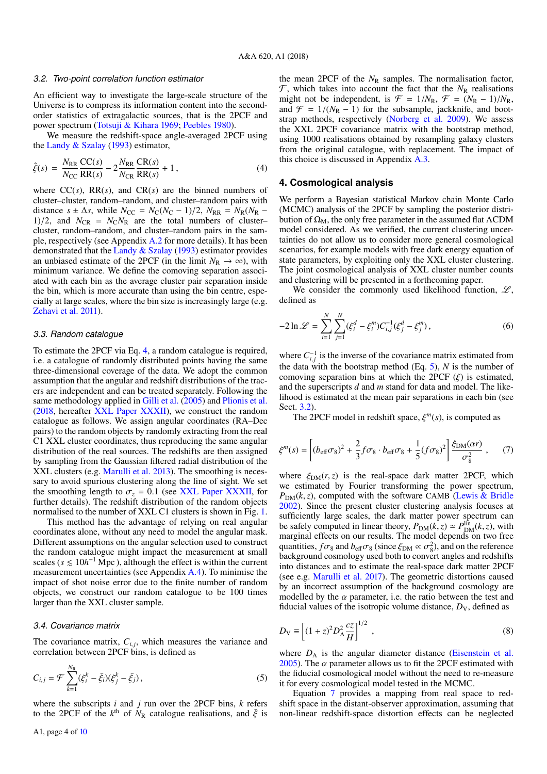#### <span id="page-3-3"></span>*3.2. Two-point correlation function estimator*

An efficient way to investigate the large-scale structure of the Universe is to compress its information content into the secondorder statistics of extragalactic sources, that is the 2PCF and power spectrum [\(Totsuji & Kihara](#page-6-49) [1969;](#page-6-49) [Peebles](#page-6-50) [1980\)](#page-6-50).

We measure the redshift-space angle-averaged 2PCF using the [Landy & Szalay](#page-6-51) [\(1993\)](#page-6-51) estimator,

$$
\hat{\xi}(s) = \frac{N_{\text{RR}}}{N_{\text{CC}}} \frac{\text{CC}(s)}{\text{RR}(s)} - 2 \frac{N_{\text{RR}}}{N_{\text{CR}}} \frac{\text{CR}(s)}{\text{RR}(s)} + 1, \tag{4}
$$

where  $CC(s)$ ,  $RR(s)$ , and  $CR(s)$  are the binned numbers of cluster–cluster, random–random, and cluster–random pairs with distance  $s \pm \Delta s$ , while  $N_{\text{CC}} = N_{\text{C}}(N_{\text{C}} - 1)/2$ ,  $N_{\text{RR}} = N_{\text{R}}(N_{\text{R}} - 1)/2$ 1)/2, and  $N_{CR} = N_C N_R$  are the total numbers of clustercluster, random–random, and cluster–random pairs in the sample, respectively (see Appendix [A.2](#page-7-2) for more details). It has been demonstrated that the [Landy & Szalay](#page-6-51) [\(1993\)](#page-6-51) estimator provides an unbiased estimate of the 2PCF (in the limit  $N_R \to \infty$ ), with minimum variance. We define the comoving separation associated with each bin as the average cluster pair separation inside the bin, which is more accurate than using the bin centre, especially at large scales, where the bin size is increasingly large (e.g. [Zehavi et al.](#page-6-52) [2011\)](#page-6-52).

#### <span id="page-3-6"></span>*3.3. Random catalogue*

To estimate the 2PCF via Eq. [4,](#page-3-1) a random catalogue is required, i.e. a catalogue of randomly distributed points having the same three-dimensional coverage of the data. We adopt the common assumption that the angular and redshift distributions of the tracers are independent and can be treated separately. Following the same methodology applied in [Gilli et al.](#page-6-53) [\(2005\)](#page-6-53) and [Plionis et al.](#page-6-54) [\(2018,](#page-6-54) hereafter [XXL Paper XXXII\)](#page-6-54), we construct the random catalogue as follows. We assign angular coordinates (RA–Dec pairs) to the random objects by randomly extracting from the real C1 XXL cluster coordinates, thus reproducing the same angular distribution of the real sources. The redshifts are then assigned by sampling from the Gaussian filtered radial distribution of the XXL clusters (e.g. [Marulli et al.](#page-6-55) [2013\)](#page-6-55). The smoothing is necessary to avoid spurious clustering along the line of sight. We set the smoothing length to  $\sigma_z = 0.1$  (see [XXL Paper XXXII,](#page-6-54) for further details). The redshift distribution of the random objects normalised to the number of XXL C1 clusters is shown in Fig. [1.](#page-2-2)

This method has the advantage of relying on real angular coordinates alone, without any need to model the angular mask. Different assumptions on the angular selection used to construct the random catalogue might impact the measurement at small scales ( $s \le 10h^{-1}$  Mpc), although the effect is within the current measurement uncertainties (see Appendix [A.4\)](#page-8-0). To minimise the impact of shot noise error due to the finite number of random objects, we construct our random catalogue to be 100 times larger than the XXL cluster sample.

#### <span id="page-3-5"></span>*3.4. Covariance matrix*

The covariance matrix,  $C_{i,j}$ , which measures the variance and correlation between 2PCF bins is defined as correlation between 2PCF bins, is defined as

$$
C_{i,j} = \mathcal{F} \sum_{k=1}^{N_R} (\xi_i^k - \bar{\xi}_i)(\xi_j^k - \bar{\xi}_j), \qquad (5)
$$

where the subscripts *i* and *j* run over the 2PCF bins, *k* refers to the 2PCF of the  $k^{\text{th}}$  of  $N_{\text{R}}$  catalogue realisations, and  $\bar{\xi}$  is the mean 2PCF of the  $N_R$  samples. The normalisation factor,  $\mathcal{F}$ , which takes into account the fact that the  $N_R$  realisations might not be independent, is  $\mathcal{F} = 1/N_R$ ,  $\mathcal{F} = (N_R - 1)/N_R$ , and  $\mathcal{F} = 1/(N_R - 1)$  for the subsample, jackknife, and bootstrap methods, respectively [\(Norberg et al.](#page-6-56) [2009\)](#page-6-56). We assess the XXL 2PCF covariance matrix with the bootstrap method, using 1000 realisations obtained by resampling galaxy clusters from the original catalogue, with replacement. The impact of this choice is discussed in Appendix [A.3.](#page-8-1)

## <span id="page-3-1"></span><span id="page-3-0"></span>**4. Cosmological analysis**

We perform a Bayesian statistical Markov chain Monte Carlo (MCMC) analysis of the 2PCF by sampling the posterior distribution of  $\Omega_M$ , the only free parameter in the assumed flat  $\Lambda$ CDM model considered. As we verified, the current clustering uncertainties do not allow us to consider more general cosmological scenarios, for example models with free dark energy equation of state parameters, by exploiting only the XXL cluster clustering. The joint cosmological analysis of XXL cluster number counts and clustering will be presented in a forthcoming paper.

We consider the commonly used likelihood function,  $\mathscr{L}$ , defined as

$$
-2\ln \mathcal{L} = \sum_{i=1}^{N} \sum_{j=1}^{N} (\xi_i^d - \xi_i^m) C_{i,j}^{-1} (\xi_j^d - \xi_j^m), \qquad (6)
$$

where  $C_{i,j}^{-1}$  is the inverse of the covariance matrix estimated from where  $e_{i,j}$  is the inverse of the covariance matrix estimated from the data with the bootstrap method (Eq. [5\)](#page-3-2),  $N$  is the number of comoving separation bins at which the 2PCF  $(\xi)$  is estimated, and the superscripts *d* and *m* stand for data and model. The likelihood is estimated at the mean pair separations in each bin (see Sect. [3.2\)](#page-3-3).

The 2PCF model in redshift space,  $\xi^{m}(s)$ , is computed as

<span id="page-3-4"></span>
$$
\xi^{m}(s) = \left[ (b_{\text{eff}} \sigma_{8})^{2} + \frac{2}{3} f \sigma_{8} \cdot b_{\text{eff}} \sigma_{8} + \frac{1}{5} (f \sigma_{8})^{2} \right] \frac{\xi_{\text{DM}}(\alpha r)}{\sigma_{8}^{2}} ,\qquad(7)
$$

where  $\xi_{DM}(r, z)$  is the real-space dark matter 2PCF, which we estimated by Fourier transforming the power spectrum,  $P_{DM}(k, z)$ , computed with the software CAMB [\(Lewis & Bridle](#page-6-57) [2002\)](#page-6-57). Since the present cluster clustering analysis focuses at sufficiently large scales, the dark matter power spectrum can be safely computed in linear theory,  $P_{DM}(k, z) \simeq P_{DM}^{lin}(k, z)$ , with marginal effects on our results. The model depends on two free marginal effects on our results. The model depends on two free quantities,  $f\sigma_8$  and  $b_{\text{eff}}\sigma_8$  (since  $\xi_{\text{DM}} \propto \sigma_8^2$ ), and on the reference<br>background cosmology used both to convert angles and redshifts background cosmology used both to convert angles and redshifts into distances and to estimate the real-space dark matter 2PCF (see e.g. [Marulli et al.](#page-6-17) [2017\)](#page-6-17). The geometric distortions caused by an incorrect assumption of the background cosmology are modelled by the  $\alpha$  parameter, i.e. the ratio between the test and fiducial values of the isotropic volume distance,  $D_V$ , defined as

$$
D_{\rm V} \equiv \left[ (1+z)^2 D_{\rm A}^2 \frac{cz}{H} \right]^{1/2} \,, \tag{8}
$$

<span id="page-3-2"></span>where  $D_A$  is the angular diameter distance (*Eisenstein et al.*) [2005\)](#page-6-58). The  $\alpha$  parameter allows us to fit the 2PCF estimated with the fiducial cosmological model without the need to re-measure it for every cosmological model tested in the MCMC.

Equation [7](#page-3-4) provides a mapping from real space to redshift space in the distant-observer approximation, assuming that non-linear redshift-space distortion effects can be neglected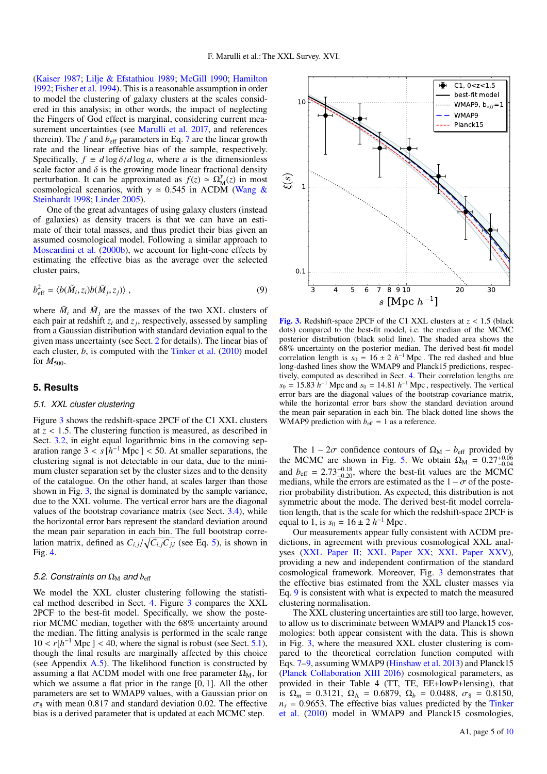[\(Kaiser](#page-6-9) [1987;](#page-6-9) [Lilje & Efstathiou](#page-6-59) [1989;](#page-6-59) [McGill](#page-6-60) [1990;](#page-6-60) [Hamilton](#page-6-18) [1992;](#page-6-18) [Fisher et al.](#page-6-61) [1994\)](#page-6-61). This is a reasonable assumption in order to model the clustering of galaxy clusters at the scales considered in this analysis; in other words, the impact of neglecting the Fingers of God effect is marginal, considering current measurement uncertainties (see [Marulli et al.](#page-6-17) [2017,](#page-6-17) and references therein). The  $f$  and  $b<sub>eff</sub>$  parameters in Eq. [7](#page-3-4) are the linear growth rate and the linear effective bias of the sample, respectively. Specifically,  $f \equiv d \log \delta / d \log a$ , where *a* is the dimensionless scale factor and  $\delta$  is the growing mode linear fractional density perturbation. It can be approximated as  $f(z) \approx \Omega_M^{\gamma}(z)$  in most  $\gamma$  cosmological scenarios, with  $\gamma \approx 0.545$  in ΛCDM [\(Wang &](#page-6-62) Steinhardt 1998: Linder 2005) [Steinhardt](#page-6-62) [1998;](#page-6-62) [Linder](#page-6-63) [2005\)](#page-6-63).

One of the great advantages of using galaxy clusters (instead of galaxies) as density tracers is that we can have an estimate of their total masses, and thus predict their bias given an assumed cosmological model. Following a similar approach to [Moscardini et al.](#page-6-13) [\(2000b\)](#page-6-13), we account for light-cone effects by estimating the effective bias as the average over the selected cluster pairs,

<span id="page-4-3"></span>
$$
b_{\text{eff}}^2 = \langle b(\tilde{M}_i, z_i)b(\tilde{M}_j, z_j)\rangle ,\qquad (9)
$$

where  $\tilde{M}_i$  and  $\tilde{M}_j$  are the masses of the two XXL clusters of each pair at redshift *z<sup>i</sup>* and *z<sup>j</sup>* , respectively, assessed by sampling from a Gaussian distribution with standard deviation equal to the given mass uncertainty (see Sect. [2](#page-1-1) for details). The linear bias of each cluster, *b*, is computed with the [Tinker et al.](#page-6-64) [\(2010\)](#page-6-64) model for  $M_{500}$ .

# <span id="page-4-0"></span>**5. Results**

#### <span id="page-4-2"></span>*5.1. XXL cluster clustering*

Figure [3](#page-4-1) shows the redshift-space 2PCF of the C1 XXL clusters at *<sup>z</sup>* < <sup>1</sup>.5. The clustering function is measured, as described in Sect. [3.2,](#page-3-3) in eight equal logarithmic bins in the comoving separation range  $3 < s$  [ $\hat{h}^{-1}$  Mpc] < 50. At smaller separations, the clustering signal is not detectable in our data, due to the miniclustering signal is not detectable in our data, due to the minimum cluster separation set by the cluster sizes and to the density of the catalogue. On the other hand, at scales larger than those shown in Fig. [3,](#page-4-1) the signal is dominated by the sample variance, due to the XXL volume. The vertical error bars are the diagonal values of the bootstrap covariance matrix (see Sect. [3.4\)](#page-3-5), while the horizontal error bars represent the standard deviation around the mean pair separation in each bin. The full bootstrap correlation matrix, defined as  $C_{i,j}/\sqrt{C_{i,j}C_{j,i}}$  (see Eq. [5\)](#page-3-2), is shown in Fig. 4 Fig. [4.](#page-5-1)

## *5.2. Constraints on*  $\Omega_M$  *and*  $b_{\text{eff}}$

We model the XXL cluster clustering following the statistical method described in Sect. [4.](#page-3-0) Figure [3](#page-4-1) compares the XXL 2PCF to the best-fit model. Specifically, we show the posterior MCMC median, together with the 68% uncertainty around the median. The fitting analysis is performed in the scale range  $10 < r[h^{-1} \text{ Mpc}] < 40$ , where the signal is robust (see Sect. [5.1\)](#page-4-2), though the final results are marginally affected by this choice though the final results are marginally affected by this choice (see Appendix [A.5\)](#page-9-1). The likelihood function is constructed by assuming a flat  $\Lambda$ CDM model with one free parameter  $\Omega_M$ , for which we assume a flat prior in the range [0, 1]. All the other parameters are set to WMAP9 values, with a Gaussian prior on  $\sigma_8$  with mean 0.817 and standard deviation 0.02. The effective bias is a derived parameter that is updated at each MCMC step.



<span id="page-4-1"></span>[Fig. 3.](http://dexter.edpsciences.org/applet.php?DOI=10.1051/0004-6361/201833238&pdf_id=0) Redshift-space 2PCF of the C1 XXL clusters at  $z < 1.5$  (black dots) compared to the best-fit model, i.e. the median of the MCMC posterior distribution (black solid line). The shaded area shows the 68% uncertainty on the posterior median. The derived best-fit model correlation length is  $s_0 = 16 \pm 2 h^{-1}$  Mpc. The red dashed and blue long-dashed lines show the WMAP9 and Planck15 predictions, respectively, computed as described in Sect. [4.](#page-3-0) Their correlation lengths are  $s_0 = 15.83 h^{-1}$  Mpc and  $s_0 = 14.81 h^{-1}$  Mpc, respectively. The vertical error hars are the diagonal values of the bootstran covariance matrix error bars are the diagonal values of the bootstrap covariance matrix, while the horizontal error bars show the standard deviation around the mean pair separation in each bin. The black dotted line shows the WMAP9 prediction with  $b_{\text{eff}} = 1$  as a reference.

The 1 –  $2\sigma$  confidence contours of  $\Omega_M$  –  $b_{\text{eff}}$  provided by the MCMC are shown in Fig. [5.](#page-5-2) We obtain  $\Omega_M = 0.27^{+0.06}_{-0.04}$ and  $b_{\text{eff}} = 2.73^{+0.18}_{-0.20}$ , where the best-fit values are the MCMC medians, while the errors are estimated as the  $1 - \sigma$  of the postemedians, while the errors are estimated as the  $1 - \sigma$  of the posterior probability distribution. As expected, this distribution is not symmetric about the mode. The derived best-fit model correlation length, that is the scale for which the redshift-space 2PCF is equal to 1, is  $s_0 = 16 \pm 2 h^{-1}$  Mpc.

Our measurements appear fully consistent with ΛCDM predictions, in agreement with previous cosmological XXL analyses [\(XXL Paper II;](#page-6-39) [XXL Paper XX;](#page-6-45) [XXL Paper XXV\)](#page-6-41), providing a new and independent confirmation of the standard cosmological framework. Moreover, Fig. [3](#page-4-1) demonstrates that the effective bias estimated from the XXL cluster masses via Eq. [9](#page-4-3) is consistent with what is expected to match the measured clustering normalisation.

The XXL clustering uncertainties are still too large, however, to allow us to discriminate between WMAP9 and Planck15 cosmologies: both appear consistent with the data. This is shown in Fig. [3,](#page-4-1) where the measured XXL cluster clustering is compared to the theoretical correlation function computed with Eqs. [7](#page-3-4)[–9,](#page-4-3) assuming WMAP9 [\(Hinshaw et al.](#page-6-43) [2013\)](#page-6-43) and Planck15 [\(Planck Collaboration XIII](#page-6-40) [2016\)](#page-6-40) cosmological parameters, as provided in their Table 4 (TT, TE, EE+lowP+lensing), that is  $\Omega_m = 0.3121$ ,  $\Omega_{\Lambda} = 0.6879$ ,  $\Omega_b = 0.0488$ ,  $\sigma_8 = 0.8150$ ,  $n<sub>s</sub> = 0.9653$ . The effective bias values predicted by the [Tinker](#page-6-64) [et al.](#page-6-64) [\(2010\)](#page-6-64) model in WMAP9 and Planck15 cosmologies,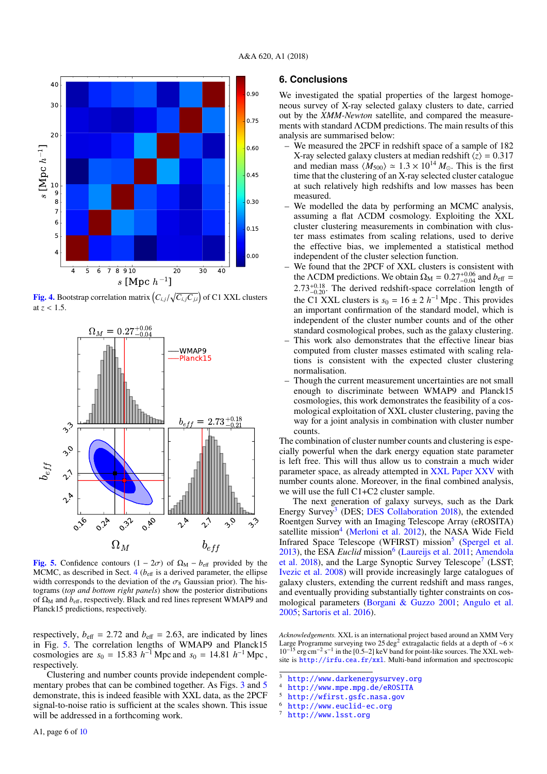

<span id="page-5-1"></span>**[Fig. 4.](http://dexter.edpsciences.org/applet.php?DOI=10.1051/0004-6361/201833238&pdf_id=0)** Bootstrap correlation matrix  $\left(C_{i,j}/\sqrt{C_{i,j}C_{j,i}}\right)$  of C1 XXL clusters at *<sup>z</sup>* < <sup>1</sup>.5.



<span id="page-5-2"></span>[Fig. 5.](http://dexter.edpsciences.org/applet.php?DOI=10.1051/0004-6361/201833238&pdf_id=0) Confidence contours  $(1 - 2\sigma)$  of  $\Omega_M - b_{\text{eff}}$  provided by the MCMC, as described in Sect.  $4 (b_{\text{eff}})$  $4 (b_{\text{eff}})$  is a derived parameter, the ellipse width corresponds to the deviation of the  $\sigma_8$  Gaussian prior). The histograms (*top and bottom right panels*) show the posterior distributions of  $\Omega_M$  and  $b_{\text{eff}}$ , respectively. Black and red lines represent WMAP9 and Planck15 predictions, respectively.

respectively,  $b_{\text{eff}} = 2.72$  and  $b_{\text{eff}} = 2.63$ , are indicated by lines in Fig. [5.](#page-5-2) The correlation lengths of WMAP9 and Planck15 cosmologies are  $s_0 = 15.83 h^{-1}$  Mpc and  $s_0 = 14.81 h^{-1}$  Mpc, respectively respectively.

Clustering and number counts provide independent comple-mentary probes that can be combined together. As Figs. [3](#page-4-1) and [5](#page-5-2) demonstrate, this is indeed feasible with XXL data, as the 2PCF signal-to-noise ratio is sufficient at the scales shown. This issue will be addressed in a forthcoming work.

<span id="page-5-0"></span>We investigated the spatial properties of the largest homogeneous survey of X-ray selected galaxy clusters to date, carried out by the *XMM-Newton* satellite, and compared the measurements with standard ΛCDM predictions. The main results of this analysis are summarised below:

- We measured the 2PCF in redshift space of a sample of 182 X-ray selected galaxy clusters at median redshift  $\langle z \rangle = 0.317$ and median mass  $\langle M_{500} \rangle \simeq 1.3 \times 10^{14} M_{\odot}$ . This is the first time that the clustering of an X-ray selected cluster catalogue at such relatively high redshifts and low masses has been measured.
- We modelled the data by performing an MCMC analysis, assuming a flat ΛCDM cosmology. Exploiting the XXL cluster clustering measurements in combination with cluster mass estimates from scaling relations, used to derive the effective bias, we implemented a statistical method independent of the cluster selection function.
- We found that the 2PCF of XXL clusters is consistent with the  $\Lambda$ CDM predictions. We obtain  $\Omega_M = 0.27^{+0.06}_{-0.04}$  and  $b_{\text{eff}} = 2.73^{+0.18}$ . The derived redshift space correlation length of 2.73<sup>+0.18</sup>. The derived redshift-space correlation length of<br>the C<sub>1</sub> XXI clusters is  $s_2 = 16 + 2 h^{-1}$  Mpc. This provides the C1 XXL clusters is  $s_0 = 16 \pm 2 h^{-1}$  Mpc. This provides an important confirmation of the standard model, which is independent of the cluster number counts and of the other standard cosmological probes, such as the galaxy clustering.
- This work also demonstrates that the effective linear bias computed from cluster masses estimated with scaling relations is consistent with the expected cluster clustering normalisation.
- Though the current measurement uncertainties are not small enough to discriminate between WMAP9 and Planck15 cosmologies, this work demonstrates the feasibility of a cosmological exploitation of XXL cluster clustering, paving the way for a joint analysis in combination with cluster number counts.

The combination of cluster number counts and clustering is especially powerful when the dark energy equation state parameter is left free. This will thus allow us to constrain a much wider parameter space, as already attempted in [XXL Paper XXV](#page-6-41) with number counts alone. Moreover, in the final combined analysis, we will use the full C1+C2 cluster sample.

The next generation of galaxy surveys, such as the Dark Energy Survey<sup>[3](#page-5-3)</sup> (DES; [DES Collaboration](#page-6-65) [2018\)](#page-6-65), the extended Roentgen Survey with an Imaging Telescope Array (eROSITA) satellite mission<sup>[4](#page-5-4)</sup> [\(Merloni et al.](#page-6-66) [2012\)](#page-6-66), the NASA Wide Field Infrared Space Telescope (WFIRST) mission<sup>[5](#page-5-5)</sup> [\(Spergel et al.](#page-6-67) [2013\)](#page-6-67), the ESA *Euclid* mission<sup>[6](#page-5-6)</sup> [\(Laureijs et al.](#page-6-68) [2011;](#page-6-68) [Amendola](#page-6-69) [et al.](#page-6-69) [2018\)](#page-6-69), and the Large Synoptic Survey Telescope<sup>[7](#page-5-7)</sup> (LSST; [Ivezic et al.](#page-6-70) [2008\)](#page-6-70) will provide increasingly large catalogues of galaxy clusters, extending the current redshift and mass ranges, and eventually providing substantially tighter constraints on cosmological parameters [\(Borgani & Guzzo](#page-6-71) [2001;](#page-6-71) [Angulo et al.](#page-6-72) [2005;](#page-6-72) [Sartoris et al.](#page-6-73) [2016\)](#page-6-73).

*Acknowledgements.* XXL is an international project based around an XMM Very Large Programme surveying two 25 deg<sup>2</sup> extragalactic fields at a depth of ∼6 × 10<sup>-15</sup> erg cm<sup>-2</sup> s<sup>-1</sup> in the [0.5–2] keV band for point-like sources. The XXL website is <http://irfu.cea.fr/xxl>. Multi-band information and spectroscopic

<span id="page-5-3"></span> $3$  <http://www.darkenergysurvey.org><br> $4$  http://www.mpe.mpg.de/ePOSTTA

- <span id="page-5-5"></span><sup>5</sup> <http://wfirst.gsfc.nasa.gov>
- <span id="page-5-6"></span> $^{6}$  <http://www.euclid-ec.org>

<span id="page-5-4"></span> $^{4}$  <http://www.mpe.mpg.de/eROSITA>

<span id="page-5-7"></span><http://www.lsst.org>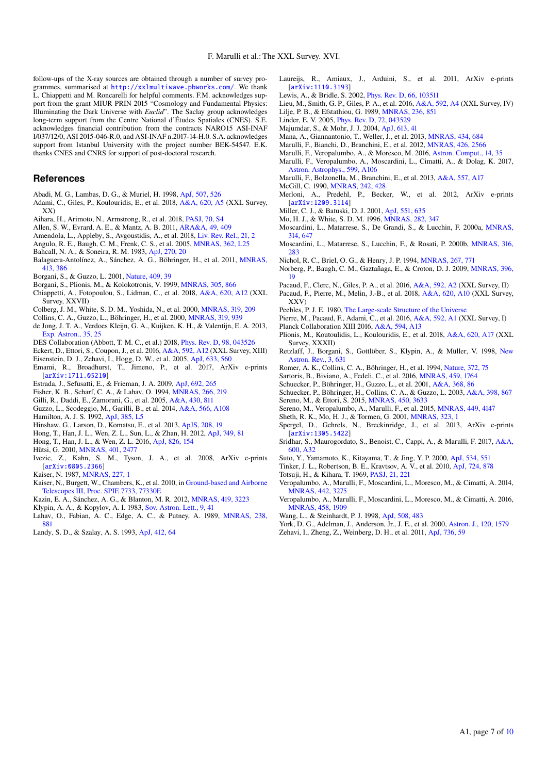follow-ups of the X-ray sources are obtained through a number of survey programmes, summarised at <http://xxlmultiwave.pbworks.com/>. We thank L. Chiappetti and M. Roncarelli for helpful comments. F.M. acknowledges support from the grant MIUR PRIN 2015 "Cosmology and Fundamental Physics: Illuminating the Dark Universe with *Euclid*". The Saclay group acknowledges long-term support from the Centre National d'Études Spatiales (CNES). S.E. acknowledges financial contribution from the contracts NARO15 ASI-INAF I/037/12/0, ASI 2015-046-R.0, and ASI-INAF n.2017-14-H.0. S.A. acknowledges support from Istanbul University with the project number BEK-54547. E.K. thanks CNES and CNRS for support of post-doctoral research.

## **References**

- <span id="page-6-21"></span>Abadi, M. G., Lambas, D. G., & Muriel, H. 1998, [ApJ, 507, 526](http://linker.aanda.org/10.1051/0004-6361/201833238/1)
- <span id="page-6-45"></span>Adami, C., Giles, P., Koulouridis, E., et al. 2018, [A&A, 620, A5](http://linker.aanda.org/10.1051/0004-6361/201833238/2) (XXL Survey, XX)
- <span id="page-6-8"></span>Aihara, H., Arimoto, N., Armstrong, R., et al. 2018, [PASJ, 70, S4](http://linker.aanda.org/10.1051/0004-6361/201833238/3)
- <span id="page-6-0"></span>Allen, S. W., Evrard, A. E., & Mantz, A. B. 2011, [ARA&A, 49, 409](http://linker.aanda.org/10.1051/0004-6361/201833238/4)
- <span id="page-6-69"></span>Amendola, L., Appleby, S., Avgoustidis, A., et al. 2018, [Liv. Rev. Rel., 21, 2](http://linker.aanda.org/10.1051/0004-6361/201833238/5)
- <span id="page-6-72"></span>Angulo, R. E., Baugh, C. M., Frenk, C. S., et al. 2005, [MNRAS, 362, L25](http://linker.aanda.org/10.1051/0004-6361/201833238/6)
- <span id="page-6-11"></span>Bahcall, N. A., & Soneira, R. M. 1983, [ApJ, 270, 20](http://linker.aanda.org/10.1051/0004-6361/201833238/7)
- <span id="page-6-27"></span>Balaguera-Antolínez, A., Sánchez, A. G., Böhringer, H., et al. 2011, [MNRAS,](http://linker.aanda.org/10.1051/0004-6361/201833238/8) [413, 386](http://linker.aanda.org/10.1051/0004-6361/201833238/8)
- <span id="page-6-71"></span>Borgani, S., & Guzzo, L. 2001, [Nature, 409, 39](http://linker.aanda.org/10.1051/0004-6361/201833238/9)
- <span id="page-6-22"></span>Borgani, S., Plionis, M., & Kolokotronis, V. 1999, [MNRAS, 305, 866](http://linker.aanda.org/10.1051/0004-6361/201833238/10)
- <span id="page-6-44"></span>Chiappetti, A., Fotopoulou, S., Lidman, C., et al. 2018, [A&A, 620, A12](http://linker.aanda.org/10.1051/0004-6361/201833238/11) (XXL Survey, XXVII)
- <span id="page-6-14"></span>Colberg, J. M., White, S. D. M., Yoshida, N., et al. 2000, [MNRAS, 319, 209](http://linker.aanda.org/10.1051/0004-6361/201833238/12)
- <span id="page-6-24"></span>Collins, C. A., Guzzo, L., Böhringer, H., et al. 2000, [MNRAS, 319, 939](http://linker.aanda.org/10.1051/0004-6361/201833238/13)
- <span id="page-6-6"></span>de Jong, J. T. A., Verdoes Kleijn, G. A., Kuijken, K. H., & Valentijn, E. A. 2013, [Exp. Astron., 35, 25](http://linker.aanda.org/10.1051/0004-6361/201833238/14)
- <span id="page-6-65"></span>DES Collaboration (Abbott, T. M. C., et al.) 2018, [Phys. Rev. D, 98, 043526](http://linker.aanda.org/10.1051/0004-6361/201833238/15)
- <span id="page-6-76"></span>Eckert, D., Ettori, S., Coupon, J., et al. 2016, [A&A, 592, A12](http://linker.aanda.org/10.1051/0004-6361/201833238/16) (XXL Survey, XIII)
- <span id="page-6-58"></span>Eisenstein, D. J., Zehavi, I., Hogg, D. W., et al. 2005, [ApJ, 633, 560](http://linker.aanda.org/10.1051/0004-6361/201833238/17)
- <span id="page-6-28"></span>Emami, R., Broadhurst, T., Jimeno, P., et al. 2017, ArXiv e-prints [[arXiv:1711.05210](https://arxiv.org/abs/1711.05210)]
- <span id="page-6-29"></span>Estrada, J., Sefusatti, E., & Frieman, J. A. 2009, [ApJ, 692, 265](http://linker.aanda.org/10.1051/0004-6361/201833238/19)
- <span id="page-6-61"></span>Fisher, K. B., Scharf, C. A., & Lahav, O. 1994, [MNRAS, 266, 219](http://linker.aanda.org/10.1051/0004-6361/201833238/20)
- <span id="page-6-53"></span>Gilli, R., Daddi, E., Zamorani, G., et al. 2005, [A&A, 430, 811](http://linker.aanda.org/10.1051/0004-6361/201833238/21)
- <span id="page-6-7"></span>Guzzo, L., Scodeggio, M., Garilli, B., et al. 2014, [A&A, 566, A108](http://linker.aanda.org/10.1051/0004-6361/201833238/22)
- <span id="page-6-18"></span>Hamilton, A. J. S. 1992, [ApJ, 385, L5](http://linker.aanda.org/10.1051/0004-6361/201833238/23)
- <span id="page-6-43"></span>Hinshaw, G., Larson, D., Komatsu, E., et al. 2013, [ApJS, 208, 19](http://linker.aanda.org/10.1051/0004-6361/201833238/24)
- <span id="page-6-31"></span>Hong, T., Han, J. L., Wen, Z. L., Sun, L., & Zhan, H. 2012, [ApJ, 749, 81](http://linker.aanda.org/10.1051/0004-6361/201833238/25)
- <span id="page-6-32"></span>Hong, T., Han, J. L., & Wen, Z. L. 2016, [ApJ, 826, 154](http://linker.aanda.org/10.1051/0004-6361/201833238/26)
- <span id="page-6-30"></span>Hütsi, G. 2010, [MNRAS, 401, 2477](http://linker.aanda.org/10.1051/0004-6361/201833238/27)
- <span id="page-6-70"></span>Ivezic, Z., Kahn, S. M., Tyson, J. A., et al. 2008, ArXiv e-prints [[arXiv:0805.2366](https://arxiv.org/abs/0805.2366)]
- <span id="page-6-9"></span>Kaiser, N. 1987, [MNRAS, 227, 1](http://linker.aanda.org/10.1051/0004-6361/201833238/29)
- <span id="page-6-5"></span>Kaiser, N., Burgett, W., Chambers, K., et al. 2010, in [Ground-based and Airborne](http://linker.aanda.org/10.1051/0004-6361/201833238/30) [Telescopes III, Proc. SPIE 7733, 77330E](http://linker.aanda.org/10.1051/0004-6361/201833238/30)
- <span id="page-6-74"></span>Kazin, E. A., Sánchez, A. G., & Blanton, M. R. 2012, [MNRAS, 419, 3223](http://linker.aanda.org/10.1051/0004-6361/201833238/31)
- <span id="page-6-10"></span>Klypin, A. A., & Kopylov, A. I. 1983, [Sov. Astron. Lett., 9, 41](http://linker.aanda.org/10.1051/0004-6361/201833238/32)
- <span id="page-6-1"></span>Lahav, O., Fabian, A. C., Edge, A. C., & Putney, A. 1989, [MNRAS, 238,](http://linker.aanda.org/10.1051/0004-6361/201833238/33) [881](http://linker.aanda.org/10.1051/0004-6361/201833238/33)
- <span id="page-6-51"></span>Landy, S. D., & Szalay, A. S. 1993, [ApJ, 412, 64](http://linker.aanda.org/10.1051/0004-6361/201833238/34)
- <span id="page-6-68"></span>Laureijs, R., Amiaux, J., Arduini, S., et al. 2011, ArXiv e-prints [[arXiv:1110.3193](https://arxiv.org/abs/1110.3193)]
- <span id="page-6-57"></span>Lewis, A., & Bridle, S. 2002, [Phys. Rev. D, 66, 103511](http://linker.aanda.org/10.1051/0004-6361/201833238/36)
- <span id="page-6-59"></span><span id="page-6-46"></span>Lieu, M., Smith, G. P., Giles, P. A., et al. 2016, [A&A, 592, A4](http://linker.aanda.org/10.1051/0004-6361/201833238/37) (XXL Survey, IV)
- Lilje, P. B., & Efstathiou, G. 1989, [MNRAS, 236, 851](http://linker.aanda.org/10.1051/0004-6361/201833238/38)
- <span id="page-6-63"></span>Linder, E. V. 2005, [Phys. Rev. D, 72, 043529](http://linker.aanda.org/10.1051/0004-6361/201833238/39)
- <span id="page-6-35"></span>Majumdar, S., & Mohr, J. J. 2004, [ApJ, 613, 41](http://linker.aanda.org/10.1051/0004-6361/201833238/40)
- <span id="page-6-36"></span>Mana, A., Giannantonio, T., Weller, J., et al. 2013, [MNRAS, 434, 684](http://linker.aanda.org/10.1051/0004-6361/201833238/41)
- <span id="page-6-47"></span>Marulli, F., Bianchi, D., Branchini, E., et al. 2012, [MNRAS, 426, 2566](http://linker.aanda.org/10.1051/0004-6361/201833238/42)
- <span id="page-6-42"></span><span id="page-6-17"></span>Marulli, F., Veropalumbo, A., & Moresco, M. 2016, [Astron. Comput., 14, 35](http://linker.aanda.org/10.1051/0004-6361/201833238/43) Marulli, F., Veropalumbo, A., Moscardini, L., Cimatti, A., & Dolag, K. 2017,
- [Astron. Astrophys., 599, A106](http://linker.aanda.org/10.1051/0004-6361/201833238/44)
- <span id="page-6-55"></span>Marulli, F., Bolzonella, M., Branchini, E., et al. 2013, [A&A, 557, A17](http://linker.aanda.org/10.1051/0004-6361/201833238/45)
- <span id="page-6-66"></span><span id="page-6-60"></span>McGill, C. 1990, [MNRAS, 242, 428](http://linker.aanda.org/10.1051/0004-6361/201833238/46)
- Merloni, A., Predehl, P., Becker, W., et al. 2012, ArXiv e-prints [[arXiv:1209.3114](https://arxiv.org/abs/1209.3114)]
- <span id="page-6-26"></span>Miller, C. J., & Batuski, D. J. 2001, [ApJ, 551, 635](http://linker.aanda.org/10.1051/0004-6361/201833238/48)
- <span id="page-6-23"></span><span id="page-6-12"></span>Mo, H. J., & White, S. D. M. 1996, [MNRAS, 282, 347](http://linker.aanda.org/10.1051/0004-6361/201833238/49)
- Moscardini, L., Matarrese, S., De Grandi, S., & Lucchin, F. 2000a, [MNRAS,](http://linker.aanda.org/10.1051/0004-6361/201833238/50) [314, 647](http://linker.aanda.org/10.1051/0004-6361/201833238/50)
- <span id="page-6-13"></span>Moscardini, L., Matarrese, S., Lucchin, F., & Rosati, P. 2000b, [MNRAS, 316,](http://linker.aanda.org/10.1051/0004-6361/201833238/51) [283](http://linker.aanda.org/10.1051/0004-6361/201833238/51)
- <span id="page-6-2"></span>Nichol, R. C., Briel, O. G., & Henry, J. P. 1994, [MNRAS, 267, 771](http://linker.aanda.org/10.1051/0004-6361/201833238/52)
- <span id="page-6-56"></span>Norberg, P., Baugh, C. M., Gaztañaga, E., & Croton, D. J. 2009, [MNRAS, 396,](http://linker.aanda.org/10.1051/0004-6361/201833238/53) [19](http://linker.aanda.org/10.1051/0004-6361/201833238/53)
- <span id="page-6-39"></span>Pacaud, F., Clerc, N., Giles, P. A., et al. 2016, [A&A, 592, A2](http://linker.aanda.org/10.1051/0004-6361/201833238/54) (XXL Survey, II)
- <span id="page-6-41"></span>Pacaud, F., Pierre, M., Melin, J.-B., et al. 2018, [A&A, 620, A10](http://linker.aanda.org/10.1051/0004-6361/201833238/55) (XXL Survey, XXV)
- <span id="page-6-50"></span>Peebles, P. J. E. 1980, [The Large-scale Structure of the Universe](http://linker.aanda.org/10.1051/0004-6361/201833238/56)
- <span id="page-6-40"></span><span id="page-6-38"></span>Pierre, M., Pacaud, F., Adami, C., et al. 2016, [A&A, 592, A1](http://linker.aanda.org/10.1051/0004-6361/201833238/57) (XXL Survey, I)
- Planck Collaboration XIII 2016, [A&A, 594, A13](http://linker.aanda.org/10.1051/0004-6361/201833238/58)
- <span id="page-6-54"></span>Plionis, M., Koutoulidis, L., Koulouridis, E., et al. 2018, [A&A, 620, A17](http://linker.aanda.org/10.1051/0004-6361/201833238/59) (XXL Survey, XXXII)
- <span id="page-6-20"></span>Retzlaff, J., Borgani, S., Gottlöber, S., Klypin, A., & Müller, V. 1998, [New](http://linker.aanda.org/10.1051/0004-6361/201833238/60) [Astron. Rev., 3, 631](http://linker.aanda.org/10.1051/0004-6361/201833238/60)
- <span id="page-6-3"></span>Romer, A. K., Collins, C. A., Böhringer, H., et al. 1994, [Nature, 372, 75](http://linker.aanda.org/10.1051/0004-6361/201833238/61)
- Sartoris, B., Biviano, A., Fedeli, C., et al. 2016, [MNRAS, 459, 1764](http://linker.aanda.org/10.1051/0004-6361/201833238/62)
- <span id="page-6-73"></span><span id="page-6-34"></span><span id="page-6-25"></span>Schuecker, P., Böhringer, H., Guzzo, L., et al. 2001, [A&A, 368, 86](http://linker.aanda.org/10.1051/0004-6361/201833238/63)
- Schuecker, P., Böhringer, H., Collins, C. A., & Guzzo, L. 2003, [A&A, 398, 867](http://linker.aanda.org/10.1051/0004-6361/201833238/64)
- <span id="page-6-75"></span>Sereno, M., & Ettori, S. 2015, [MNRAS, 450, 3633](http://linker.aanda.org/10.1051/0004-6361/201833238/65)
- <span id="page-6-37"></span>Sereno, M., Veropalumbo, A., Marulli, F., et al. 2015, [MNRAS, 449, 4147](http://linker.aanda.org/10.1051/0004-6361/201833238/66)
- <span id="page-6-16"></span>Sheth, R. K., Mo, H. J., & Tormen, G. 2001, [MNRAS, 323, 1](http://linker.aanda.org/10.1051/0004-6361/201833238/67)
- <span id="page-6-67"></span>Spergel, D., Gehrels, N., Breckinridge, J., et al. 2013, ArXiv e-prints [[arXiv:1305.5422](https://arxiv.org/abs/1305.5422)]
- <span id="page-6-48"></span>Sridhar, S., Maurogordato, S., Benoist, C., Cappi, A., & Marulli, F. 2017, [A&A,](http://linker.aanda.org/10.1051/0004-6361/201833238/69) [600, A32](http://linker.aanda.org/10.1051/0004-6361/201833238/69)
- <span id="page-6-15"></span>Suto, Y., Yamamoto, K., Kitayama, T., & Jing, Y. P. 2000, [ApJ, 534, 551](http://linker.aanda.org/10.1051/0004-6361/201833238/70)
- <span id="page-6-64"></span><span id="page-6-49"></span>Tinker, J. L., Robertson, B. E., Kravtsov, A. V., et al. 2010, [ApJ, 724, 878](http://linker.aanda.org/10.1051/0004-6361/201833238/71)
- Totsuji, H., & Kihara, T. 1969, [PASJ, 21, 221](http://linker.aanda.org/10.1051/0004-6361/201833238/72)
- <span id="page-6-19"></span>Veropalumbo, A., Marulli, F., Moscardini, L., Moresco, M., & Cimatti, A. 2014, [MNRAS, 442, 3275](http://linker.aanda.org/10.1051/0004-6361/201833238/73)
- <span id="page-6-33"></span>Veropalumbo, A., Marulli, F., Moscardini, L., Moresco, M., & Cimatti, A. 2016, [MNRAS, 458, 1909](http://linker.aanda.org/10.1051/0004-6361/201833238/74)
- <span id="page-6-62"></span>Wang, L., & Steinhardt, P. J. 1998, [ApJ, 508, 483](http://linker.aanda.org/10.1051/0004-6361/201833238/75)
- <span id="page-6-52"></span><span id="page-6-4"></span>York, D. G., Adelman, J., Anderson, Jr., J. E., et al. 2000, [Astron. J., 120, 1579](http://linker.aanda.org/10.1051/0004-6361/201833238/76)
- Zehavi, I., Zheng, Z., Weinberg, D. H., et al. 2011, [ApJ, 736, 59](http://linker.aanda.org/10.1051/0004-6361/201833238/77)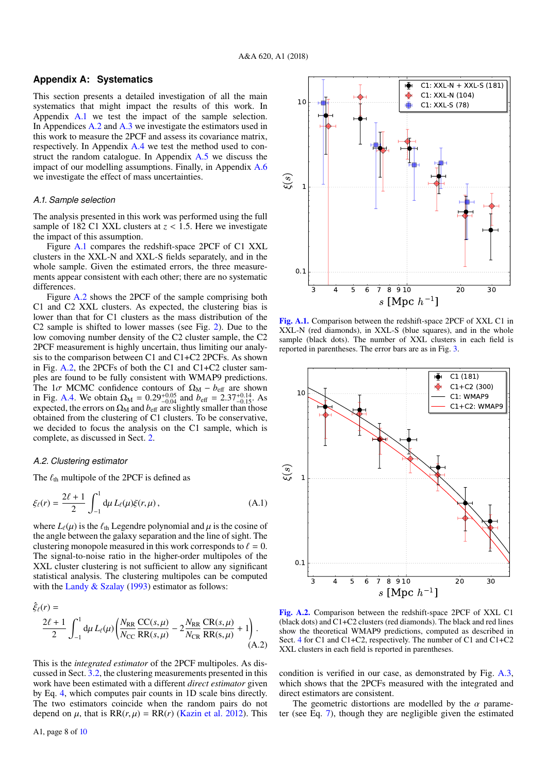# <span id="page-7-0"></span>**Appendix A: Systematics**

This section presents a detailed investigation of all the main systematics that might impact the results of this work. In Appendix [A.1](#page-7-1) we test the impact of the sample selection. In Appendices [A.2](#page-7-2) and [A.3](#page-8-1) we investigate the estimators used in this work to measure the 2PCF and assess its covariance matrix, respectively. In Appendix [A.4](#page-8-0) we test the method used to construct the random catalogue. In Appendix  $A.5$  we discuss the impact of our modelling assumptions. Finally, in Appendix [A.6](#page-9-0) we investigate the effect of mass uncertainties.

#### <span id="page-7-1"></span>*A.1. Sample selection*

The analysis presented in this work was performed using the full sample of 182 C1 XXL clusters at  $z < 1.5$ . Here we investigate the impact of this assumption.

Figure [A.1](#page-7-3) compares the redshift-space 2PCF of C1 XXL clusters in the XXL-N and XXL-S fields separately, and in the whole sample. Given the estimated errors, the three measurements appear consistent with each other; there are no systematic differences.

Figure [A.2](#page-7-4) shows the 2PCF of the sample comprising both C1 and C2 XXL clusters. As expected, the clustering bias is lower than that for C1 clusters as the mass distribution of the C2 sample is shifted to lower masses (see Fig. [2\)](#page-2-3). Due to the low comoving number density of the C2 cluster sample, the C2 2PCF measurement is highly uncertain, thus limiting our analysis to the comparison between C1 and C1+C2 2PCFs. As shown in Fig. [A.2,](#page-7-4) the 2PCFs of both the C1 and C1+C2 cluster samples are found to be fully consistent with WMAP9 predictions. The 1 $\sigma$  MCMC confidence contours of  $\Omega_M - b_{\text{eff}}$  are shown in Fig. [A.4.](#page-8-2) We obtain  $\Omega_M = 0.29_{-0.04}^{+0.05}$  and  $b_{\text{eff}} = 2.37_{-0.15}^{+0.14}$ . As<br>expected, the errors on  $\Omega_M$  and  $b_{\text{eff}}$  are slightly smaller than those expected, the errors on  $\Omega_M$  and  $b_{\text{eff}}$  are slightly smaller than those obtained from the clustering of C1 clusters. To be conservative, we decided to focus the analysis on the C1 sample, which is complete, as discussed in Sect. [2.](#page-1-1)

## <span id="page-7-2"></span>*A.2. Clustering estimator*

The  $\ell_{\text{th}}$  multipole of the 2PCF is defined as

$$
\xi_{\ell}(r) = \frac{2\ell+1}{2} \int_{-1}^{1} d\mu \, L_{\ell}(\mu) \xi(r, \mu), \tag{A.1}
$$

where  $L_{\ell}(\mu)$  is the  $\ell_{\text{th}}$  Legendre polynomial and  $\mu$  is the cosine of the angle between the galaxy separation and the line of sight. The clustering monopole measured in this work corresponds to  $\ell = 0$ . The signal-to-noise ratio in the higher-order multipoles of the XXL cluster clustering is not sufficient to allow any significant statistical analysis. The clustering multipoles can be computed with the Landy  $&$  Szalay [\(1993\)](#page-6-51) estimator as follows:

$$
\hat{\xi}_{\ell}(r) = \frac{2\ell + 1}{2} \int_{-1}^{1} d\mu L_{\ell}(\mu) \left( \frac{N_{\text{RR}} C C(s, \mu)}{N_{\text{CC}} R R(s, \mu)} - 2 \frac{N_{\text{RR}} C R(s, \mu)}{N_{\text{CR}} R R(s, \mu)} + 1 \right). \tag{A.2}
$$

This is the *integrated estimator* of the 2PCF multipoles. As discussed in Sect. [3.2,](#page-3-3) the clustering measurements presented in this work have been estimated with a different *direct estimator* given by Eq. [4,](#page-3-1) which computes pair counts in 1D scale bins directly. The two estimators coincide when the random pairs do not depend on  $\mu$ , that is  $RR(r, \mu) = RR(r)$  [\(Kazin et al.](#page-6-74) [2012\)](#page-6-74). This



<span id="page-7-3"></span>[Fig. A.1.](http://dexter.edpsciences.org/applet.php?DOI=10.1051/0004-6361/201833238&pdf_id=0) Comparison between the redshift-space 2PCF of XXL C1 in XXL-N (red diamonds), in XXL-S (blue squares), and in the whole sample (black dots). The number of XXL clusters in each field is reported in parentheses. The error bars are as in Fig. [3.](#page-4-1)



<span id="page-7-4"></span>[Fig. A.2.](http://dexter.edpsciences.org/applet.php?DOI=10.1051/0004-6361/201833238&pdf_id=0) Comparison between the redshift-space 2PCF of XXL C1 (black dots) and C1+C2 clusters (red diamonds). The black and red lines show the theoretical WMAP9 predictions, computed as described in Sect. [4](#page-3-0) for C1 and C1+C2, respectively. The number of C1 and C1+C2 XXL clusters in each field is reported in parentheses.

condition is verified in our case, as demonstrated by Fig. [A.3,](#page-8-3) which shows that the 2PCFs measured with the integrated and direct estimators are consistent.

The geometric distortions are modelled by the  $\alpha$  parameter (see Eq. [7\)](#page-3-4), though they are negligible given the estimated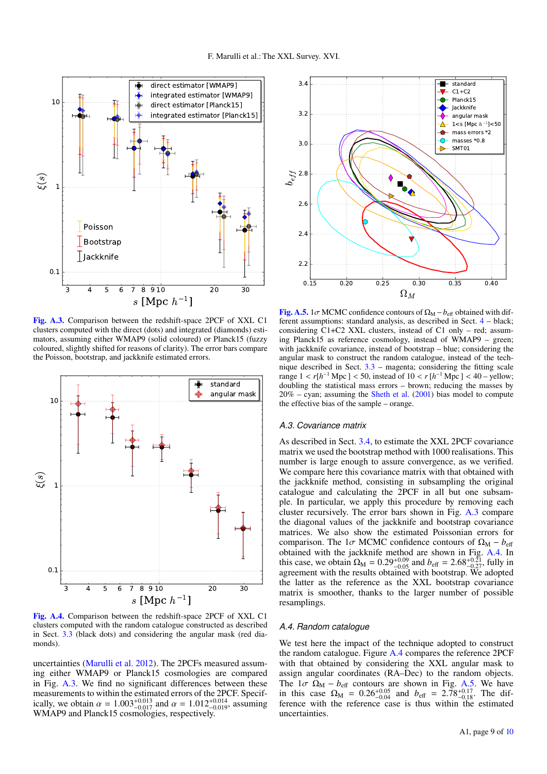

<span id="page-8-3"></span>[Fig. A.3.](http://dexter.edpsciences.org/applet.php?DOI=10.1051/0004-6361/201833238&pdf_id=0) Comparison between the redshift-space 2PCF of XXL C1 clusters computed with the direct (dots) and integrated (diamonds) estimators, assuming either WMAP9 (solid coloured) or Planck15 (fuzzy coloured, slightly shifted for reasons of clarity). The error bars compare the Poisson, bootstrap, and jackknife estimated errors.



<span id="page-8-2"></span>[Fig. A.4.](http://dexter.edpsciences.org/applet.php?DOI=10.1051/0004-6361/201833238&pdf_id=0) Comparison between the redshift-space 2PCF of XXL C1 clusters computed with the random catalogue constructed as described in Sect. [3.3](#page-3-6) (black dots) and considering the angular mask (red diamonds).

uncertainties [\(Marulli et al.](#page-6-47) [2012\)](#page-6-47). The 2PCFs measured assuming either WMAP9 or Planck15 cosmologies are compared in Fig. [A.3.](#page-8-3) We find no significant differences between these measurements to within the estimated errors of the 2PCF. Specifically, we obtain  $\alpha = 1.003_{-0.017}^{+0.013}$  and  $\alpha = 1.012_{-0.019}^{+0.014}$ , assuming WMAP9 and Planck15 cosmologies respectively WMAP9 and Planck15 cosmologies, respectively.



<span id="page-8-4"></span>[Fig. A.5.](http://dexter.edpsciences.org/applet.php?DOI=10.1051/0004-6361/201833238&pdf_id=0) 1 $\sigma$  MCMC confidence contours of  $\Omega_M - b_{\text{eff}}$  obtained with different assumptions: standard analysis, as described in Sect. [4](#page-3-0) – black; considering C1+C2 XXL clusters, instead of C1 only – red; assuming Planck15 as reference cosmology, instead of WMAP9 – green; with jackknife covariance, instead of bootstrap – blue; considering the angular mask to construct the random catalogue, instead of the technique described in Sect.  $3.3$  – magenta; considering the fitting scale range  $1 < r[h^{-1} \text{ Mpc}] < 50$ , instead of  $10 < r[h^{-1} \text{ Mpc}] < 40$  – yellow;<br>doubling the statistical mass errors – brown: reducing the masses by doubling the statistical mass errors – brown; reducing the masses by 20% – cyan; assuming the [Sheth et al.](#page-6-16) [\(2001\)](#page-6-16) bias model to compute the effective bias of the sample – orange.

## <span id="page-8-1"></span>*A.3. Covariance matrix*

As described in Sect. [3.4,](#page-3-5) to estimate the XXL 2PCF covariance matrix we used the bootstrap method with 1000 realisations. This number is large enough to assure convergence, as we verified. We compare here this covariance matrix with that obtained with the jackknife method, consisting in subsampling the original catalogue and calculating the 2PCF in all but one subsample. In particular, we apply this procedure by removing each cluster recursively. The error bars shown in Fig. [A.3](#page-8-3) compare the diagonal values of the jackknife and bootstrap covariance matrices. We also show the estimated Poissonian errors for comparison. The 1 $\sigma$  MCMC confidence contours of  $\Omega_M - b_{\text{eff}}$ obtained with the jackknife method are shown in Fig. [A.4.](#page-8-2) In this case, we obtain  $\Omega_M = 0.29_{-0.09}^{+0.09}$  and  $b_{\text{eff}} = 2.68_{-0.27}^{+0.21}$ , fully in agreement with the results obtained with bootstrap. We adopted agreement with the results obtained with bootstrap. We adopted the latter as the reference as the XXL bootstrap covariance matrix is smoother, thanks to the larger number of possible resamplings.

#### <span id="page-8-0"></span>*A.4. Random catalogue*

We test here the impact of the technique adopted to construct the random catalogue. Figure [A.4](#page-8-2) compares the reference 2PCF with that obtained by considering the XXL angular mask to assign angular coordinates (RA–Dec) to the random objects. The  $1\sigma \Omega_M - b_{eff}$  contours are shown in Fig. [A.5.](#page-8-4) We have<br>in this case  $Q_M = 0.26^{+0.05}$  and  $b_{eff} = 2.78^{+0.17}$  The difin this case  $\Omega_M = 0.26_{-0.04}^{+0.05}$  and  $b_{\text{eff}} = 2.78_{-0.18}^{+0.17}$ . The difference with the reference case is thus within the estimated uncertainties.